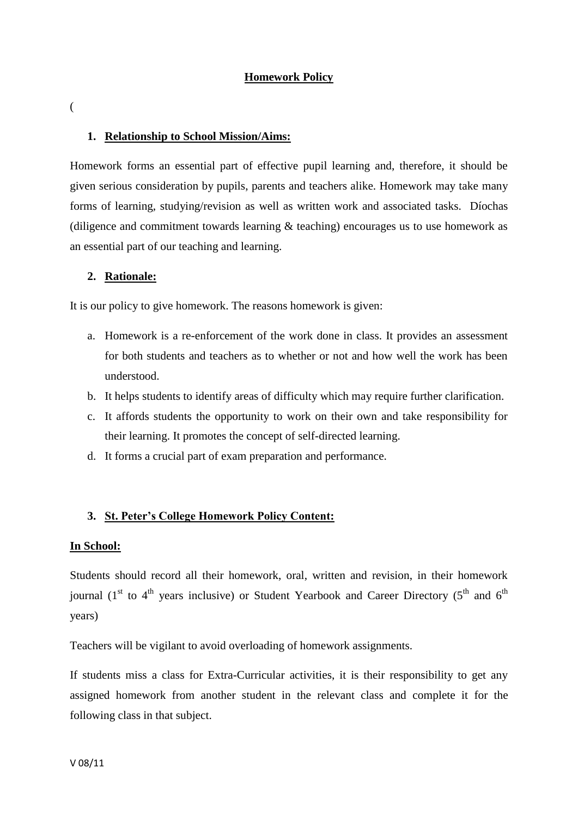### **Homework Policy**

(

#### **1. Relationship to School Mission/Aims:**

Homework forms an essential part of effective pupil learning and, therefore, it should be given serious consideration by pupils, parents and teachers alike. Homework may take many forms of learning, studying/revision as well as written work and associated tasks. Díochas (diligence and commitment towards learning & teaching) encourages us to use homework as an essential part of our teaching and learning.

#### **2. Rationale:**

It is our policy to give homework. The reasons homework is given:

- a. Homework is a re-enforcement of the work done in class. It provides an assessment for both students and teachers as to whether or not and how well the work has been understood.
- b. It helps students to identify areas of difficulty which may require further clarification.
- c. It affords students the opportunity to work on their own and take responsibility for their learning. It promotes the concept of self-directed learning.
- d. It forms a crucial part of exam preparation and performance.

#### **3. St. Peter's College Homework Policy Content:**

#### **In School:**

Students should record all their homework, oral, written and revision, in their homework journal (1<sup>st</sup> to 4<sup>th</sup> years inclusive) or Student Yearbook and Career Directory (5<sup>th</sup> and 6<sup>th</sup> years)

Teachers will be vigilant to avoid overloading of homework assignments.

If students miss a class for Extra-Curricular activities, it is their responsibility to get any assigned homework from another student in the relevant class and complete it for the following class in that subject.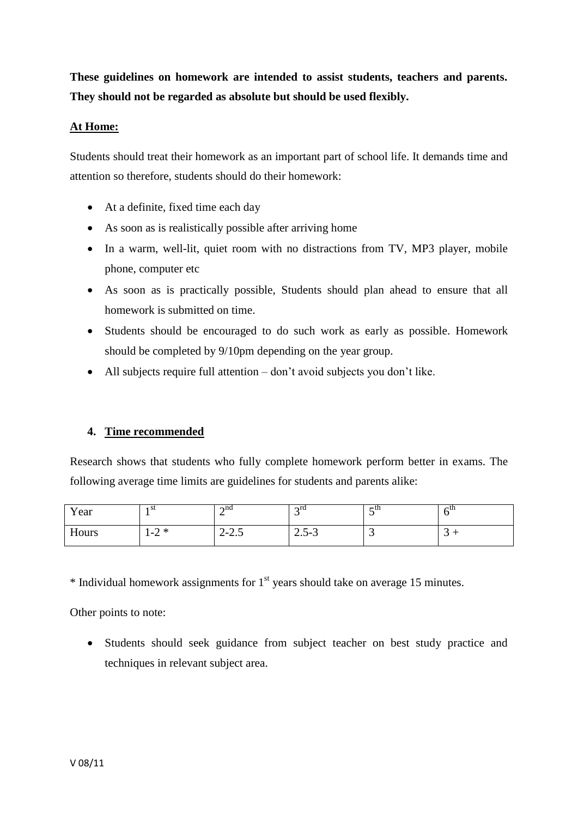**These guidelines on homework are intended to assist students, teachers and parents. They should not be regarded as absolute but should be used flexibly.**

## **At Home:**

Students should treat their homework as an important part of school life. It demands time and attention so therefore, students should do their homework:

- At a definite, fixed time each day
- As soon as is realistically possible after arriving home
- In a warm, well-lit, quiet room with no distractions from TV, MP3 player, mobile phone, computer etc
- As soon as is practically possible, Students should plan ahead to ensure that all homework is submitted on time.
- Students should be encouraged to do such work as early as possible. Homework should be completed by 9/10pm depending on the year group.
- All subjects require full attention don't avoid subjects you don't like.

## **4. Time recommended**

Research shows that students who fully complete homework perform better in exams. The following average time limits are guidelines for students and parents alike:

| Year  | ı st                    | $\lambda$ nd<br>-                      | $\gamma$ rd<br>ັ | $\sim$ ul | ∠แ |
|-------|-------------------------|----------------------------------------|------------------|-----------|----|
| Hours | $\gamma *$<br>$-$<br>−∠ | $\gamma$ $\gamma$ $\zeta$<br>$2 - 2.5$ | $2.5 - 3$        | ຼ         | ັ  |

 $*$  Individual homework assignments for  $1<sup>st</sup>$  years should take on average 15 minutes.

Other points to note:

 Students should seek guidance from subject teacher on best study practice and techniques in relevant subject area.